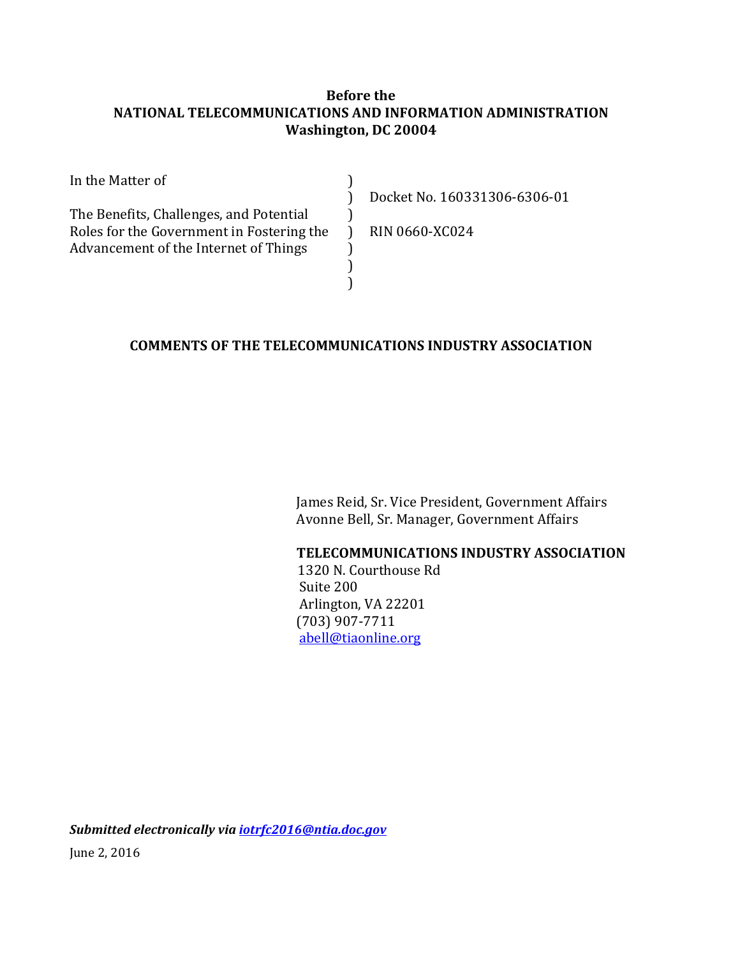#### **Before the NATIONAL TELECOMMUNICATIONS AND INFORMATION ADMINISTRATION Washington, DC 20004**

| In the Matter of                          |                              |
|-------------------------------------------|------------------------------|
|                                           | Docket No. 160331306-6306-01 |
| The Benefits, Challenges, and Potential   |                              |
| Roles for the Government in Fostering the | <b>RIN 0660-XC024</b>        |
| Advancement of the Internet of Things     |                              |
|                                           |                              |
|                                           |                              |

#### **COMMENTS OF THE TELECOMMUNICATIONS INDUSTRY ASSOCIATION**

 James Reid, Sr. Vice President, Government Affairs Avonne Bell, Sr. Manager, Government Affairs

#### **TELECOMMUNICATIONS INDUSTRY ASSOCIATION**

 1320 N. Courthouse Rd Suite 200 Arlington, VA 22201 (703) 907-7711 [abell@tiaonline.org](mailto:abell@tiaonline.org)

*Submitted electronically via [iotrfc2016@ntia.doc.gov](mailto:iotrfc2016@ntia.doc.gov)* June 2, 2016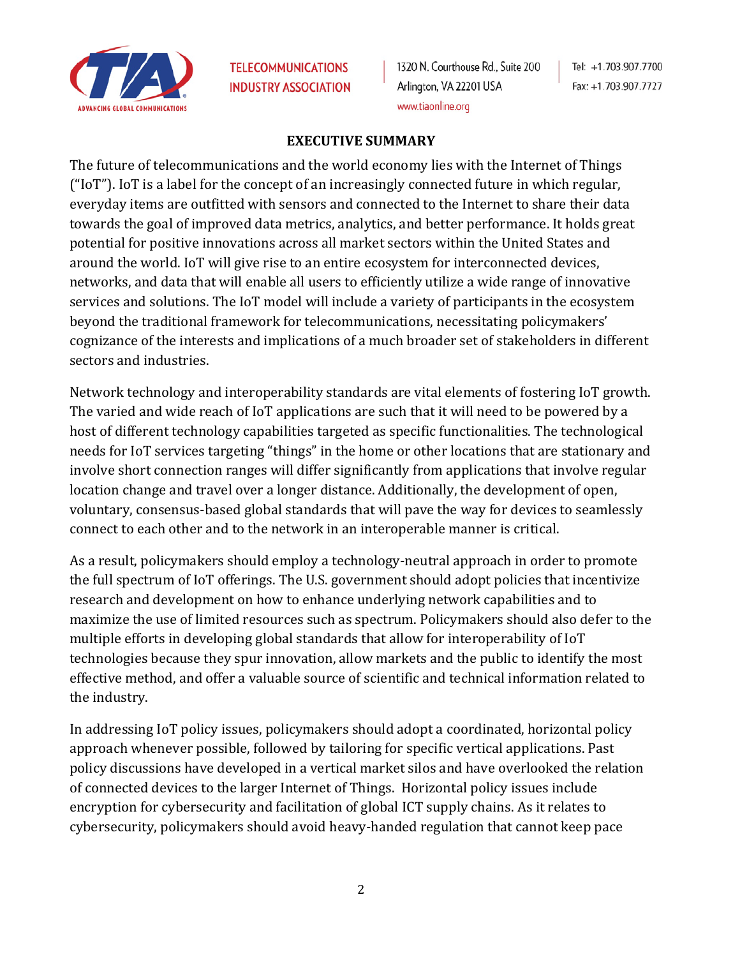

1320 N. Courthouse Rd., Suite 200 Arlington, VA 22201 USA www.tiaonline.org

Tel: +1.703.907.7700 Fax: +1.703.907.7727

#### **EXECUTIVE SUMMARY**

The future of telecommunications and the world economy lies with the Internet of Things ("IoT"). IoT is a label for the concept of an increasingly connected future in which regular, everyday items are outfitted with sensors and connected to the Internet to share their data towards the goal of improved data metrics, analytics, and better performance. It holds great potential for positive innovations across all market sectors within the United States and around the world. IoT will give rise to an entire ecosystem for interconnected devices, networks, and data that will enable all users to efficiently utilize a wide range of innovative services and solutions. The IoT model will include a variety of participants in the ecosystem beyond the traditional framework for telecommunications, necessitating policymakers' cognizance of the interests and implications of a much broader set of stakeholders in different sectors and industries.

Network technology and interoperability standards are vital elements of fostering IoT growth. The varied and wide reach of IoT applications are such that it will need to be powered by a host of different technology capabilities targeted as specific functionalities. The technological needs for IoT services targeting "things" in the home or other locations that are stationary and involve short connection ranges will differ significantly from applications that involve regular location change and travel over a longer distance. Additionally, the development of open, voluntary, consensus-based global standards that will pave the way for devices to seamlessly connect to each other and to the network in an interoperable manner is critical.

As a result, policymakers should employ a technology-neutral approach in order to promote the full spectrum of IoT offerings. The U.S. government should adopt policies that incentivize research and development on how to enhance underlying network capabilities and to maximize the use of limited resources such as spectrum. Policymakers should also defer to the multiple efforts in developing global standards that allow for interoperability of IoT technologies because they spur innovation, allow markets and the public to identify the most effective method, and offer a valuable source of scientific and technical information related to the industry.

In addressing IoT policy issues, policymakers should adopt a coordinated, horizontal policy approach whenever possible, followed by tailoring for specific vertical applications. Past policy discussions have developed in a vertical market silos and have overlooked the relation of connected devices to the larger Internet of Things. Horizontal policy issues include encryption for cybersecurity and facilitation of global ICT supply chains. As it relates to cybersecurity, policymakers should avoid heavy-handed regulation that cannot keep pace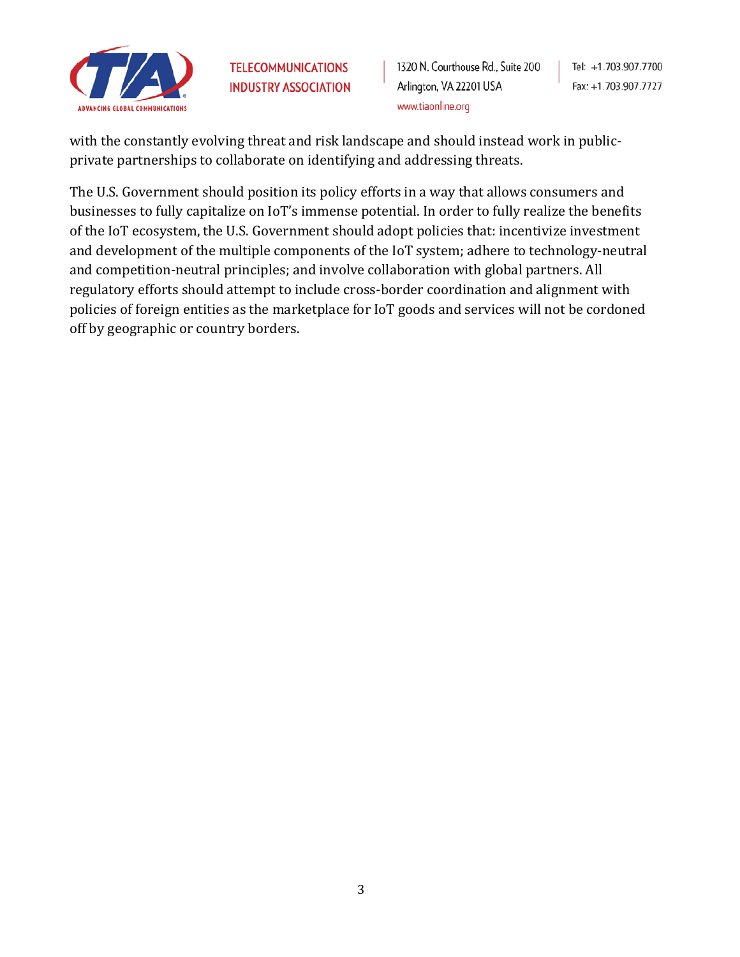

1320 N. Courthouse Rd., Suite 200 Arlington, VA 22201 USA www.tiaonline.org

Tel: +1.703.907.7700 Fax: +1.703.907.7727

with the constantly evolving threat and risk landscape and should instead work in publicprivate partnerships to collaborate on identifying and addressing threats.

The U.S. Government should position its policy efforts in a way that allows consumers and businesses to fully capitalize on IoT's immense potential. In order to fully realize the benefits of the IoT ecosystem, the U.S. Government should adopt policies that: incentivize investment and development of the multiple components of the IoT system; adhere to technology-neutral and competition-neutral principles; and involve collaboration with global partners. All regulatory efforts should attempt to include cross-border coordination and alignment with policies of foreign entities as the marketplace for IoT goods and services will not be cordoned off by geographic or country borders.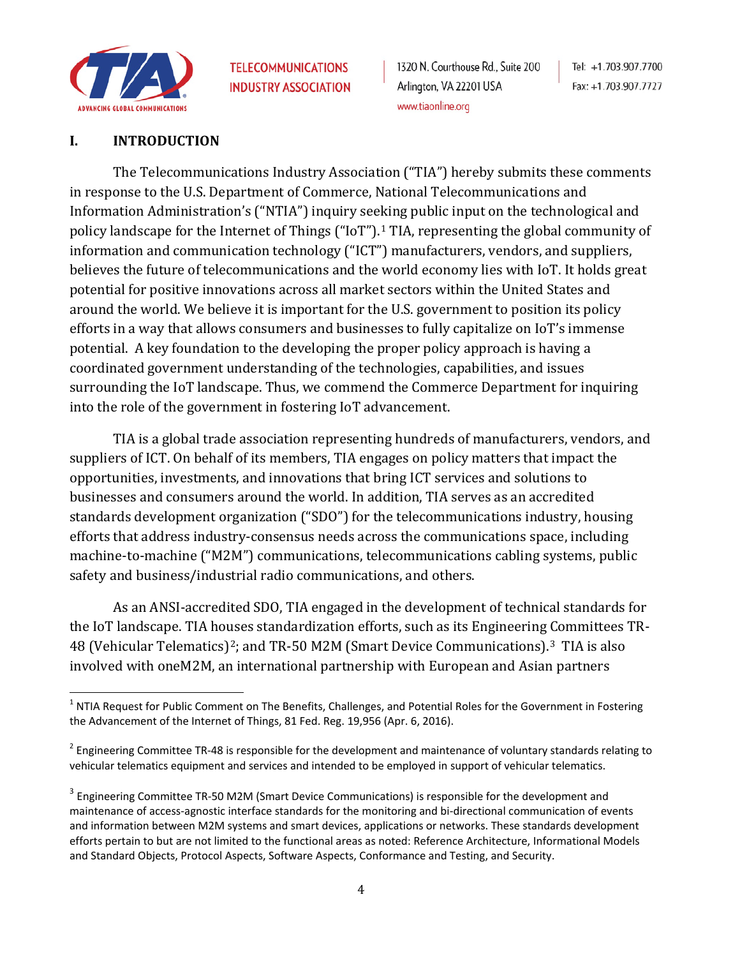

#### **I. INTRODUCTION**

The Telecommunications Industry Association ("TIA") hereby submits these comments in response to the U.S. Department of Commerce, National Telecommunications and Information Administration's ("NTIA") inquiry seeking public input on the technological and policy landscape for the Internet of Things ("IoT").<sup>[1](#page-3-0)</sup> TIA, representing the global community of information and communication technology ("ICT") manufacturers, vendors, and suppliers, believes the future of telecommunications and the world economy lies with IoT. It holds great potential for positive innovations across all market sectors within the United States and around the world. We believe it is important for the U.S. government to position its policy efforts in a way that allows consumers and businesses to fully capitalize on IoT's immense potential. A key foundation to the developing the proper policy approach is having a coordinated government understanding of the technologies, capabilities, and issues surrounding the IoT landscape. Thus, we commend the Commerce Department for inquiring into the role of the government in fostering IoT advancement.

TIA is a global trade association representing hundreds of manufacturers, vendors, and suppliers of ICT. On behalf of its members, TIA engages on policy matters that impact the opportunities, investments, and innovations that bring ICT services and solutions to businesses and consumers around the world. In addition, TIA serves as an accredited standards development organization ("SDO") for the telecommunications industry, housing efforts that address industry-consensus needs across the communications space, including machine-to-machine ("M2M") communications, telecommunications cabling systems, public safety and business/industrial radio communications, and others.

As an ANSI-accredited SDO, TIA engaged in the development of technical standards for the IoT landscape. TIA houses standardization efforts, such as its Engineering Committees TR-48 (Vehicular Telematics)[2](#page-3-1); and TR-50 M2M (Smart Device Communications).[3](#page-3-2) TIA is also involved with oneM2M, an international partnership with European and Asian partners

<span id="page-3-0"></span> $1$  NTIA Request for Public Comment on The Benefits, Challenges, and Potential Roles for the Government in Fostering the Advancement of the Internet of Things, 81 Fed. Reg. 19,956 (Apr. 6, 2016).

<span id="page-3-1"></span> $2$  Engineering Committee TR-48 is responsible for the development and maintenance of voluntary standards relating to vehicular telematics equipment and services and intended to be employed in support of vehicular telematics.

<span id="page-3-2"></span><sup>&</sup>lt;sup>3</sup> Engineering Committee TR-50 M2M (Smart Device Communications) is responsible for the development and maintenance of access-agnostic interface standards for the monitoring and bi-directional communication of events and information between M2M systems and smart devices, applications or networks. These standards development efforts pertain to but are not limited to the functional areas as noted: Reference Architecture, Informational Models and Standard Objects, Protocol Aspects, Software Aspects, Conformance and Testing, and Security.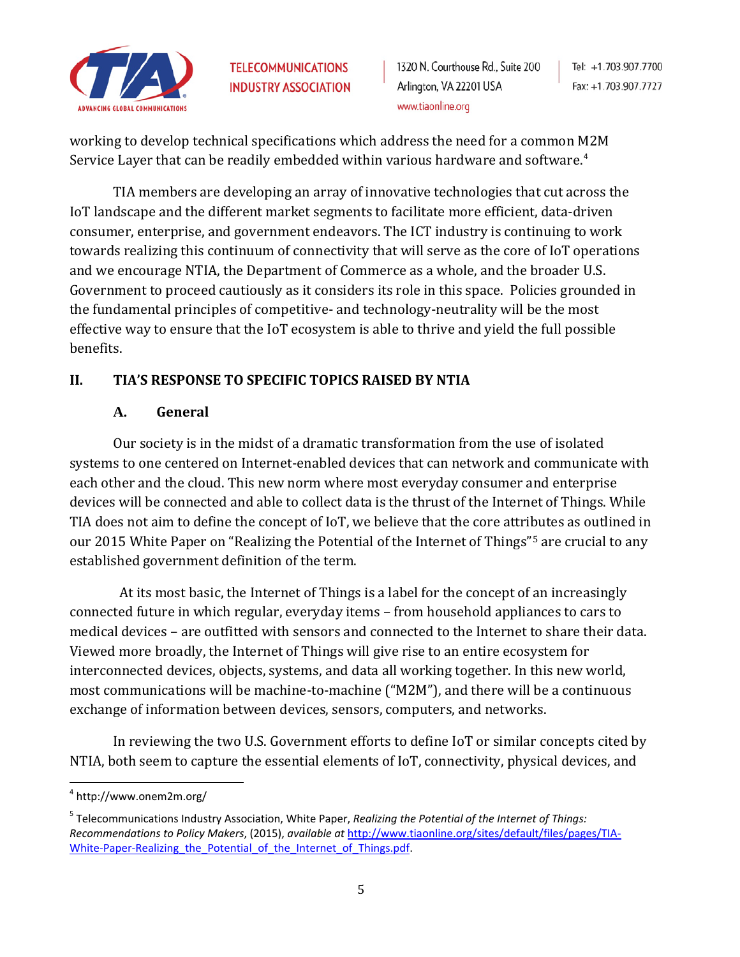

working to develop technical specifications which address the need for a common M2M Service Layer that can be readily embedded within various hardware and software.<sup>[4](#page-4-0)</sup>

TIA members are developing an array of innovative technologies that cut across the IoT landscape and the different market segments to facilitate more efficient, data-driven consumer, enterprise, and government endeavors. The ICT industry is continuing to work towards realizing this continuum of connectivity that will serve as the core of IoT operations and we encourage NTIA, the Department of Commerce as a whole, and the broader U.S. Government to proceed cautiously as it considers its role in this space. Policies grounded in the fundamental principles of competitive- and technology-neutrality will be the most effective way to ensure that the IoT ecosystem is able to thrive and yield the full possible benefits.

## **II. TIA'S RESPONSE TO SPECIFIC TOPICS RAISED BY NTIA**

### **A. General**

Our society is in the midst of a dramatic transformation from the use of isolated systems to one centered on Internet-enabled devices that can network and communicate with each other and the cloud. This new norm where most everyday consumer and enterprise devices will be connected and able to collect data is the thrust of the Internet of Things. While TIA does not aim to define the concept of IoT, we believe that the core attributes as outlined in our 2015 White Paper on "Realizing the Potential of the Internet of Things"[5](#page-4-1) are crucial to any established government definition of the term.

 At its most basic, the Internet of Things is a label for the concept of an increasingly connected future in which regular, everyday items – from household appliances to cars to medical devices – are outfitted with sensors and connected to the Internet to share their data. Viewed more broadly, the Internet of Things will give rise to an entire ecosystem for interconnected devices, objects, systems, and data all working together. In this new world, most communications will be machine-to-machine ("M2M"), and there will be a continuous exchange of information between devices, sensors, computers, and networks.

In reviewing the two U.S. Government efforts to define IoT or similar concepts cited by NTIA, both seem to capture the essential elements of IoT, connectivity, physical devices, and

<span id="page-4-0"></span> <sup>4</sup> http://www.onem2m.org/

<span id="page-4-1"></span><sup>5</sup> Telecommunications Industry Association, White Paper, *Realizing the Potential of the Internet of Things: Recommendations to Policy Makers*, (2015), *available at* [http://www.tiaonline.org/sites/default/files/pages/TIA-](http://www.tiaonline.org/sites/default/files/pages/TIA-White-Paper-Realizing_the_Potential_of_the_Internet_of_Things.pdf)White-Paper-Realizing the Potential of the Internet of Things.pdf.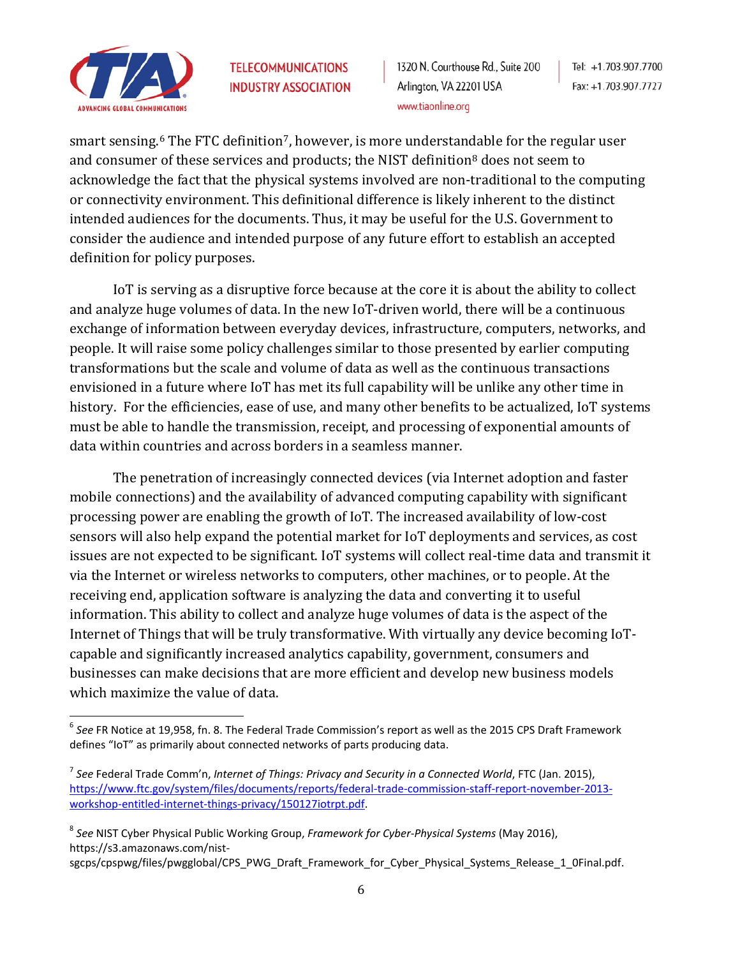

1320 N. Courthouse Rd., Suite 200 Arlington, VA 22201 USA www.tiaonline.org

smart sensing. $6$  The FTC definition $7$ , however, is more understan[da](#page-5-2)ble for the regular user and consumer of these services and products; the NIST definition<sup>8</sup> does not seem to acknowledge the fact that the physical systems involved are non-traditional to the computing or connectivity environment. This definitional difference is likely inherent to the distinct intended audiences for the documents. Thus, it may be useful for the U.S. Government to consider the audience and intended purpose of any future effort to establish an accepted definition for policy purposes.

IoT is serving as a disruptive force because at the core it is about the ability to collect and analyze huge volumes of data. In the new IoT-driven world, there will be a continuous exchange of information between everyday devices, infrastructure, computers, networks, and people. It will raise some policy challenges similar to those presented by earlier computing transformations but the scale and volume of data as well as the continuous transactions envisioned in a future where IoT has met its full capability will be unlike any other time in history. For the efficiencies, ease of use, and many other benefits to be actualized, IoT systems must be able to handle the transmission, receipt, and processing of exponential amounts of data within countries and across borders in a seamless manner.

The penetration of increasingly connected devices (via Internet adoption and faster mobile connections) and the availability of advanced computing capability with significant processing power are enabling the growth of IoT. The increased availability of low-cost sensors will also help expand the potential market for IoT deployments and services, as cost issues are not expected to be significant. IoT systems will collect real-time data and transmit it via the Internet or wireless networks to computers, other machines, or to people. At the receiving end, application software is analyzing the data and converting it to useful information. This ability to collect and analyze huge volumes of data is the aspect of the Internet of Things that will be truly transformative. With virtually any device becoming IoTcapable and significantly increased analytics capability, government, consumers and businesses can make decisions that are more efficient and develop new business models which maximize the value of data.

<span id="page-5-2"></span><sup>8</sup> *See* NIST Cyber Physical Public Working Group, *Framework for Cyber-Physical Systems* (May 2016), https://s3.amazonaws.com/nist-

sgcps/cpspwg/files/pwgglobal/CPS\_PWG\_Draft\_Framework\_for\_Cyber\_Physical\_Systems\_Release\_1\_0Final.pdf.

<span id="page-5-0"></span> <sup>6</sup> *See* FR Notice at 19,958, fn. 8. The Federal Trade Commission's report as well as the 2015 CPS Draft Framework defines "IoT" as primarily about connected networks of parts producing data.

<span id="page-5-1"></span><sup>7</sup> *See* Federal Trade Comm'n, *Internet of Things: Privacy and Security in a Connected World*, FTC (Jan. 2015), [https://www.ftc.gov/system/files/documents/reports/federal-trade-commission-staff-report-november-2013](https://www.ftc.gov/system/files/documents/reports/federal-trade-commission-staff-report-november-2013-workshop-entitled-internet-things-privacy/150127iotrpt.pdf) [workshop-entitled-internet-things-privacy/150127iotrpt.pdf.](https://www.ftc.gov/system/files/documents/reports/federal-trade-commission-staff-report-november-2013-workshop-entitled-internet-things-privacy/150127iotrpt.pdf)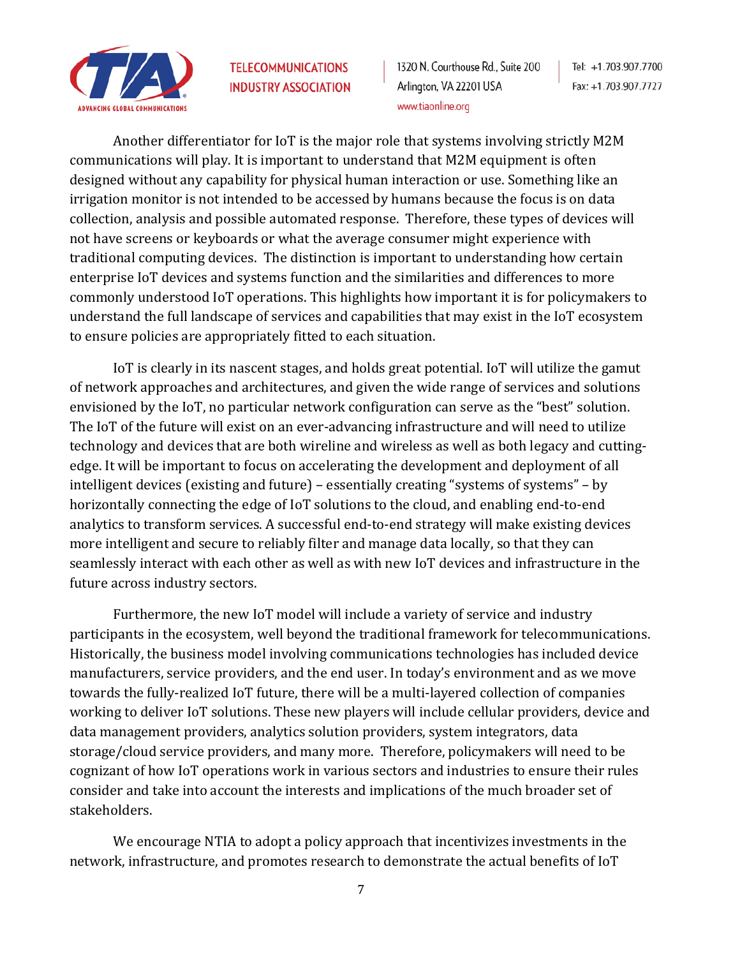

1320 N. Courthouse Rd., Suite 200 Arlington, VA 22201 USA www.tiaonline.org

Another differentiator for IoT is the major role that systems involving strictly M2M communications will play. It is important to understand that M2M equipment is often designed without any capability for physical human interaction or use. Something like an irrigation monitor is not intended to be accessed by humans because the focus is on data collection, analysis and possible automated response. Therefore, these types of devices will not have screens or keyboards or what the average consumer might experience with traditional computing devices. The distinction is important to understanding how certain enterprise IoT devices and systems function and the similarities and differences to more commonly understood IoT operations. This highlights how important it is for policymakers to understand the full landscape of services and capabilities that may exist in the IoT ecosystem to ensure policies are appropriately fitted to each situation.

IoT is clearly in its nascent stages, and holds great potential. IoT will utilize the gamut of network approaches and architectures, and given the wide range of services and solutions envisioned by the IoT, no particular network configuration can serve as the "best" solution. The IoT of the future will exist on an ever-advancing infrastructure and will need to utilize technology and devices that are both wireline and wireless as well as both legacy and cuttingedge. It will be important to focus on accelerating the development and deployment of all intelligent devices (existing and future) – essentially creating "systems of systems" – by horizontally connecting the edge of IoT solutions to the cloud, and enabling end-to-end analytics to transform services. A successful end-to-end strategy will make existing devices more intelligent and secure to reliably filter and manage data locally, so that they can seamlessly interact with each other as well as with new IoT devices and infrastructure in the future across industry sectors.

Furthermore, the new IoT model will include a variety of service and industry participants in the ecosystem, well beyond the traditional framework for telecommunications. Historically, the business model involving communications technologies has included device manufacturers, service providers, and the end user. In today's environment and as we move towards the fully-realized IoT future, there will be a multi-layered collection of companies working to deliver IoT solutions. These new players will include cellular providers, device and data management providers, analytics solution providers, system integrators, data storage/cloud service providers, and many more. Therefore, policymakers will need to be cognizant of how IoT operations work in various sectors and industries to ensure their rules consider and take into account the interests and implications of the much broader set of stakeholders.

We encourage NTIA to adopt a policy approach that incentivizes investments in the network, infrastructure, and promotes research to demonstrate the actual benefits of IoT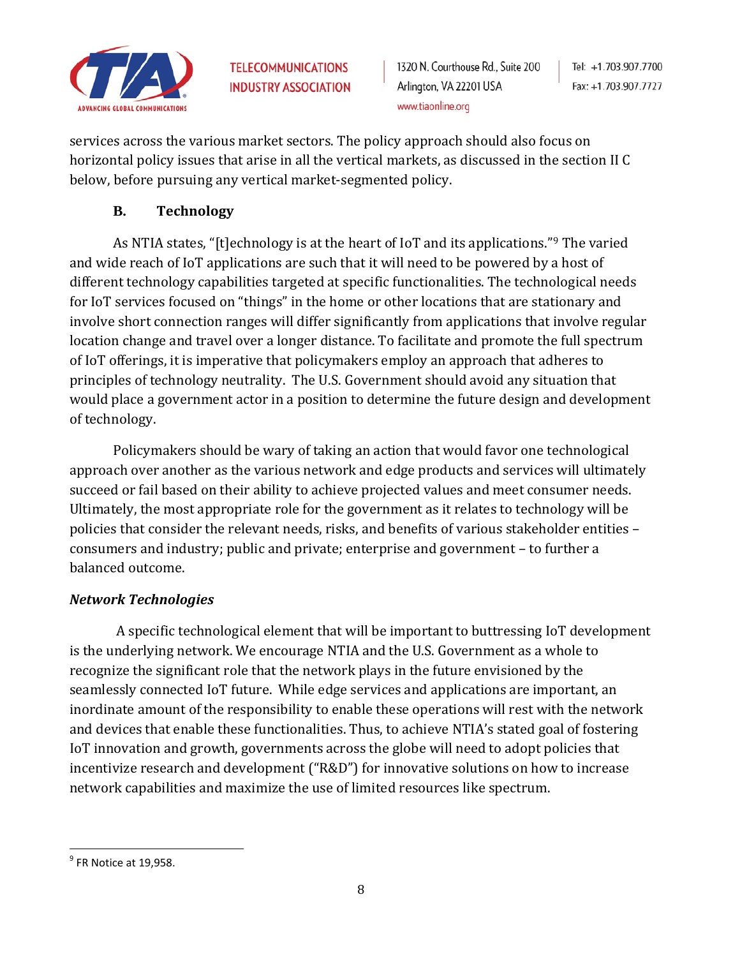

Tel: +1.703.907.7700 Fax: +1.703.907.7727

services across the various market sectors. The policy approach should also focus on horizontal policy issues that arise in all the vertical markets, as discussed in the section II C below, before pursuing any vertical market-segmented policy.

## **B. Technology**

As NTIA states, "[t]echnology is at the heart of IoT and its applications."[9](#page-7-0) The varied and wide reach of IoT applications are such that it will need to be powered by a host of different technology capabilities targeted at specific functionalities. The technological needs for IoT services focused on "things" in the home or other locations that are stationary and involve short connection ranges will differ significantly from applications that involve regular location change and travel over a longer distance. To facilitate and promote the full spectrum of IoT offerings, it is imperative that policymakers employ an approach that adheres to principles of technology neutrality. The U.S. Government should avoid any situation that would place a government actor in a position to determine the future design and development of technology.

Policymakers should be wary of taking an action that would favor one technological approach over another as the various network and edge products and services will ultimately succeed or fail based on their ability to achieve projected values and meet consumer needs. Ultimately, the most appropriate role for the government as it relates to technology will be policies that consider the relevant needs, risks, and benefits of various stakeholder entities – consumers and industry; public and private; enterprise and government – to further a balanced outcome.

## *Network Technologies*

A specific technological element that will be important to buttressing IoT development is the underlying network. We encourage NTIA and the U.S. Government as a whole to recognize the significant role that the network plays in the future envisioned by the seamlessly connected IoT future. While edge services and applications are important, an inordinate amount of the responsibility to enable these operations will rest with the network and devices that enable these functionalities. Thus, to achieve NTIA's stated goal of fostering IoT innovation and growth, governments across the globe will need to adopt policies that incentivize research and development ("R&D") for innovative solutions on how to increase network capabilities and maximize the use of limited resources like spectrum.

<span id="page-7-0"></span> $<sup>9</sup>$  FR Notice at 19,958.</sup>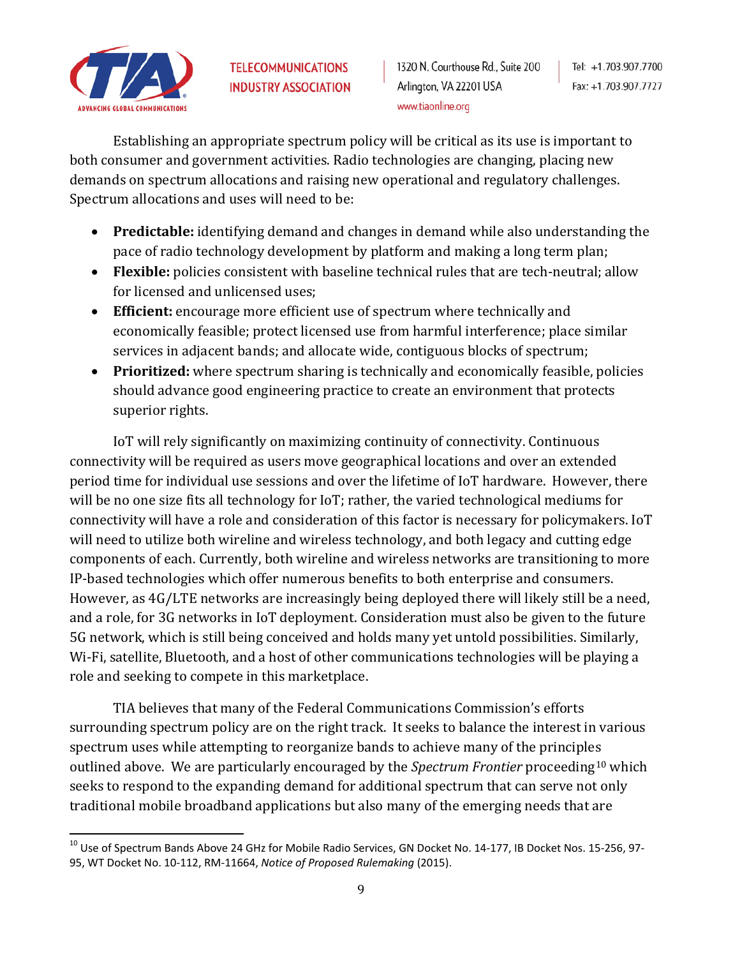

Establishing an appropriate spectrum policy will be critical as its use is important to both consumer and government activities. Radio technologies are changing, placing new demands on spectrum allocations and raising new operational and regulatory challenges. Spectrum allocations and uses will need to be:

- **Predictable:** identifying demand and changes in demand while also understanding the pace of radio technology development by platform and making a long term plan;
- **Flexible:** policies consistent with baseline technical rules that are tech-neutral; allow for licensed and unlicensed uses;
- **Efficient:** encourage more efficient use of spectrum where technically and economically feasible; protect licensed use from harmful interference; place similar services in adjacent bands; and allocate wide, contiguous blocks of spectrum;
- **Prioritized:** where spectrum sharing is technically and economically feasible, policies should advance good engineering practice to create an environment that protects superior rights.

IoT will rely significantly on maximizing continuity of connectivity. Continuous connectivity will be required as users move geographical locations and over an extended period time for individual use sessions and over the lifetime of IoT hardware. However, there will be no one size fits all technology for IoT; rather, the varied technological mediums for connectivity will have a role and consideration of this factor is necessary for policymakers. IoT will need to utilize both wireline and wireless technology, and both legacy and cutting edge components of each. Currently, both wireline and wireless networks are transitioning to more IP-based technologies which offer numerous benefits to both enterprise and consumers. However, as 4G/LTE networks are increasingly being deployed there will likely still be a need, and a role, for 3G networks in IoT deployment. Consideration must also be given to the future 5G network, which is still being conceived and holds many yet untold possibilities. Similarly, Wi-Fi, satellite, Bluetooth, and a host of other communications technologies will be playing a role and seeking to compete in this marketplace.

TIA believes that many of the Federal Communications Commission's efforts surrounding spectrum policy are on the right track. It seeks to balance the interest in various spectrum uses while attempting to reorganize bands to achieve many of the principles outlined above. We are particularly encouraged by the *Spectrum Frontier* proceeding[10](#page-8-0) which seeks to respond to the expanding demand for additional spectrum that can serve not only traditional mobile broadband applications but also many of the emerging needs that are

<span id="page-8-0"></span><sup>&</sup>lt;sup>10</sup> Use of Spectrum Bands Above 24 GHz for Mobile Radio Services, GN Docket No. 14-177, IB Docket Nos. 15-256, 97-95, WT Docket No. 10-112, RM-11664, *Notice of Proposed Rulemaking* (2015).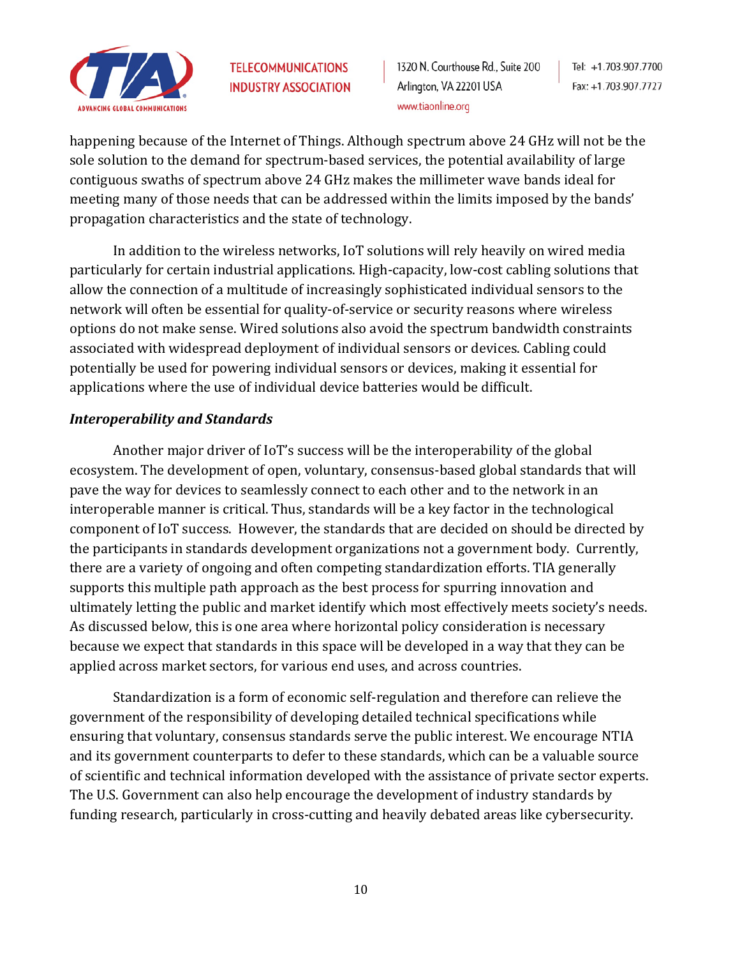

1320 N. Courthouse Rd., Suite 200 Arlington, VA 22201 USA www.tiaonline.org

Tel: +1.703.907.7700 Fax: +1.703.907.7727

happening because of the Internet of Things. Although spectrum above 24 GHz will not be the sole solution to the demand for spectrum-based services, the potential availability of large contiguous swaths of spectrum above 24 GHz makes the millimeter wave bands ideal for meeting many of those needs that can be addressed within the limits imposed by the bands' propagation characteristics and the state of technology.

In addition to the wireless networks, IoT solutions will rely heavily on wired media particularly for certain industrial applications. High-capacity, low-cost cabling solutions that allow the connection of a multitude of increasingly sophisticated individual sensors to the network will often be essential for quality-of-service or security reasons where wireless options do not make sense. Wired solutions also avoid the spectrum bandwidth constraints associated with widespread deployment of individual sensors or devices. Cabling could potentially be used for powering individual sensors or devices, making it essential for applications where the use of individual device batteries would be difficult.

#### *Interoperability and Standards*

Another major driver of IoT's success will be the interoperability of the global ecosystem. The development of open, voluntary, consensus-based global standards that will pave the way for devices to seamlessly connect to each other and to the network in an interoperable manner is critical. Thus, standards will be a key factor in the technological component of IoT success. However, the standards that are decided on should be directed by the participants in standards development organizations not a government body. Currently, there are a variety of ongoing and often competing standardization efforts. TIA generally supports this multiple path approach as the best process for spurring innovation and ultimately letting the public and market identify which most effectively meets society's needs. As discussed below, this is one area where horizontal policy consideration is necessary because we expect that standards in this space will be developed in a way that they can be applied across market sectors, for various end uses, and across countries.

Standardization is a form of economic self-regulation and therefore can relieve the government of the responsibility of developing detailed technical specifications while ensuring that voluntary, consensus standards serve the public interest. We encourage NTIA and its government counterparts to defer to these standards, which can be a valuable source of scientific and technical information developed with the assistance of private sector experts. The U.S. Government can also help encourage the development of industry standards by funding research, particularly in cross-cutting and heavily debated areas like cybersecurity.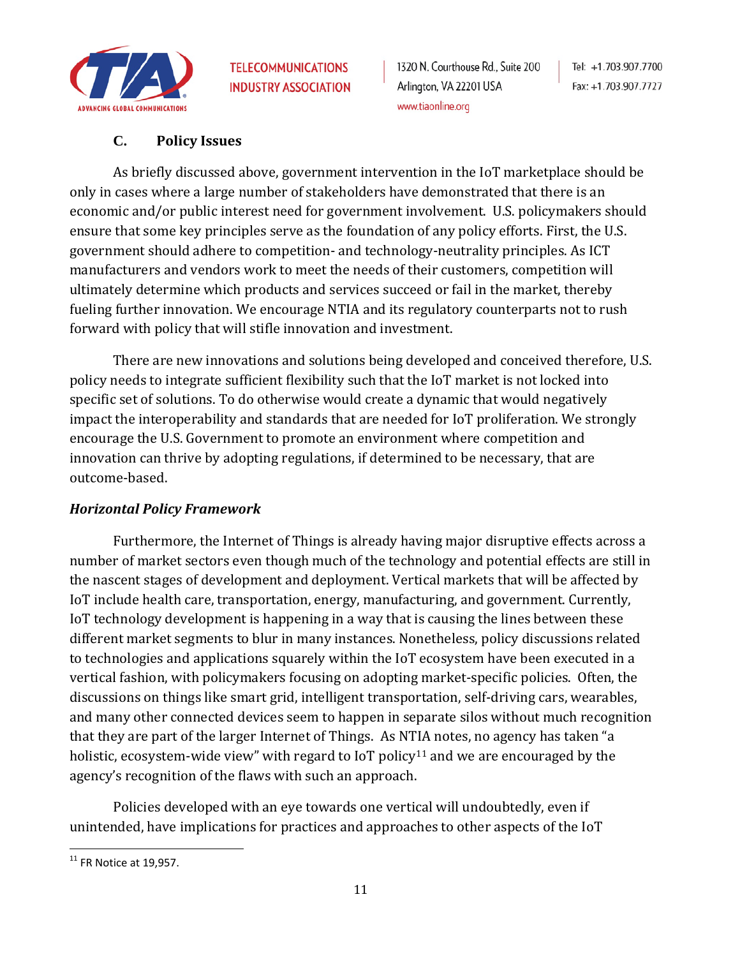

### **C. Policy Issues**

As briefly discussed above, government intervention in the IoT marketplace should be only in cases where a large number of stakeholders have demonstrated that there is an economic and/or public interest need for government involvement. U.S. policymakers should ensure that some key principles serve as the foundation of any policy efforts. First, the U.S. government should adhere to competition- and technology-neutrality principles. As ICT manufacturers and vendors work to meet the needs of their customers, competition will ultimately determine which products and services succeed or fail in the market, thereby fueling further innovation. We encourage NTIA and its regulatory counterparts not to rush forward with policy that will stifle innovation and investment.

There are new innovations and solutions being developed and conceived therefore, U.S. policy needs to integrate sufficient flexibility such that the IoT market is not locked into specific set of solutions. To do otherwise would create a dynamic that would negatively impact the interoperability and standards that are needed for IoT proliferation. We strongly encourage the U.S. Government to promote an environment where competition and innovation can thrive by adopting regulations, if determined to be necessary, that are outcome-based.

#### *Horizontal Policy Framework*

Furthermore, the Internet of Things is already having major disruptive effects across a number of market sectors even though much of the technology and potential effects are still in the nascent stages of development and deployment. Vertical markets that will be affected by IoT include health care, transportation, energy, manufacturing, and government. Currently, IoT technology development is happening in a way that is causing the lines between these different market segments to blur in many instances. Nonetheless, policy discussions related to technologies and applications squarely within the IoT ecosystem have been executed in a vertical fashion, with policymakers focusing on adopting market-specific policies. Often, the discussions on things like smart grid, intelligent transportation, self-driving cars, wearables, and many other connected devices seem to happen in separate silos without much recognition that they are part of the larger Internet of Things. As NTIA notes, no agency has taken "a holistic, ecosystem-wide view" with regard to IoT policy<sup>[11](#page-10-0)</sup> and we are encouraged by the agency's recognition of the flaws with such an approach.

Policies developed with an eye towards one vertical will undoubtedly, even if unintended, have implications for practices and approaches to other aspects of the IoT

<span id="page-10-0"></span> $11$  FR Notice at 19,957.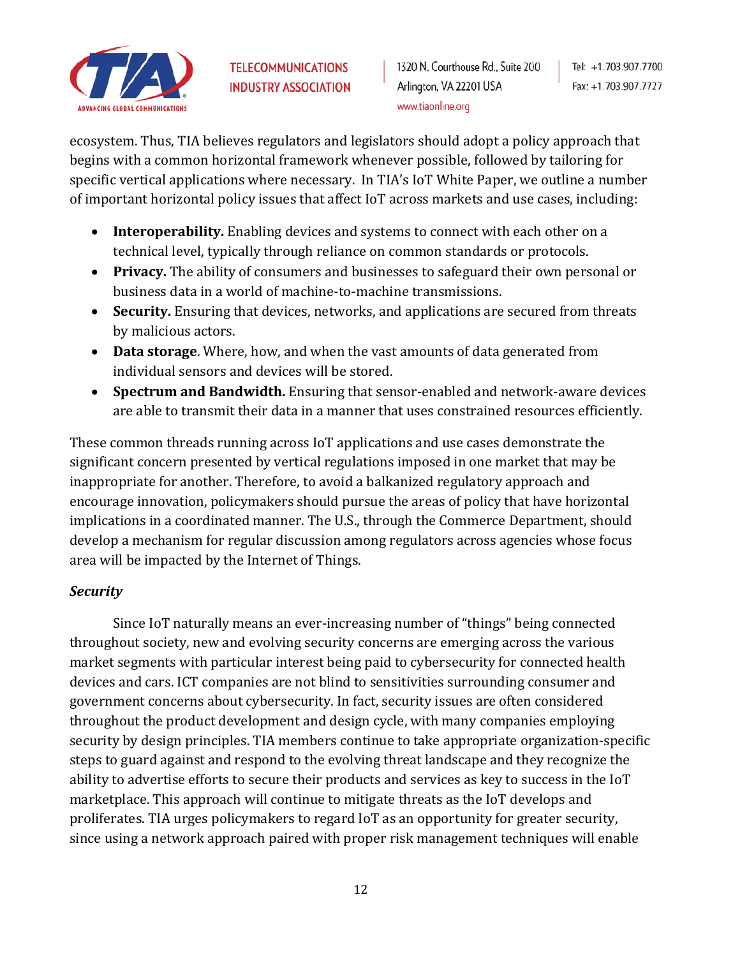

ecosystem. Thus, TIA believes regulators and legislators should adopt a policy approach that begins with a common horizontal framework whenever possible, followed by tailoring for specific vertical applications where necessary. In TIA's IoT White Paper, we outline a number of important horizontal policy issues that affect IoT across markets and use cases, including:

- **Interoperability.** Enabling devices and systems to connect with each other on a technical level, typically through reliance on common standards or protocols.
- **Privacy.** The ability of consumers and businesses to safeguard their own personal or business data in a world of machine-to-machine transmissions.
- **Security.** Ensuring that devices, networks, and applications are secured from threats by malicious actors.
- **Data storage**. Where, how, and when the vast amounts of data generated from individual sensors and devices will be stored.
- **Spectrum and Bandwidth.** Ensuring that sensor-enabled and network-aware devices are able to transmit their data in a manner that uses constrained resources efficiently.

These common threads running across IoT applications and use cases demonstrate the significant concern presented by vertical regulations imposed in one market that may be inappropriate for another. Therefore, to avoid a balkanized regulatory approach and encourage innovation, policymakers should pursue the areas of policy that have horizontal implications in a coordinated manner. The U.S., through the Commerce Department, should develop a mechanism for regular discussion among regulators across agencies whose focus area will be impacted by the Internet of Things.

## *Security*

Since IoT naturally means an ever-increasing number of "things" being connected throughout society, new and evolving security concerns are emerging across the various market segments with particular interest being paid to cybersecurity for connected health devices and cars. ICT companies are not blind to sensitivities surrounding consumer and government concerns about cybersecurity. In fact, security issues are often considered throughout the product development and design cycle, with many companies employing security by design principles. TIA members continue to take appropriate organization-specific steps to guard against and respond to the evolving threat landscape and they recognize the ability to advertise efforts to secure their products and services as key to success in the IoT marketplace. This approach will continue to mitigate threats as the IoT develops and proliferates. TIA urges policymakers to regard IoT as an opportunity for greater security, since using a network approach paired with proper risk management techniques will enable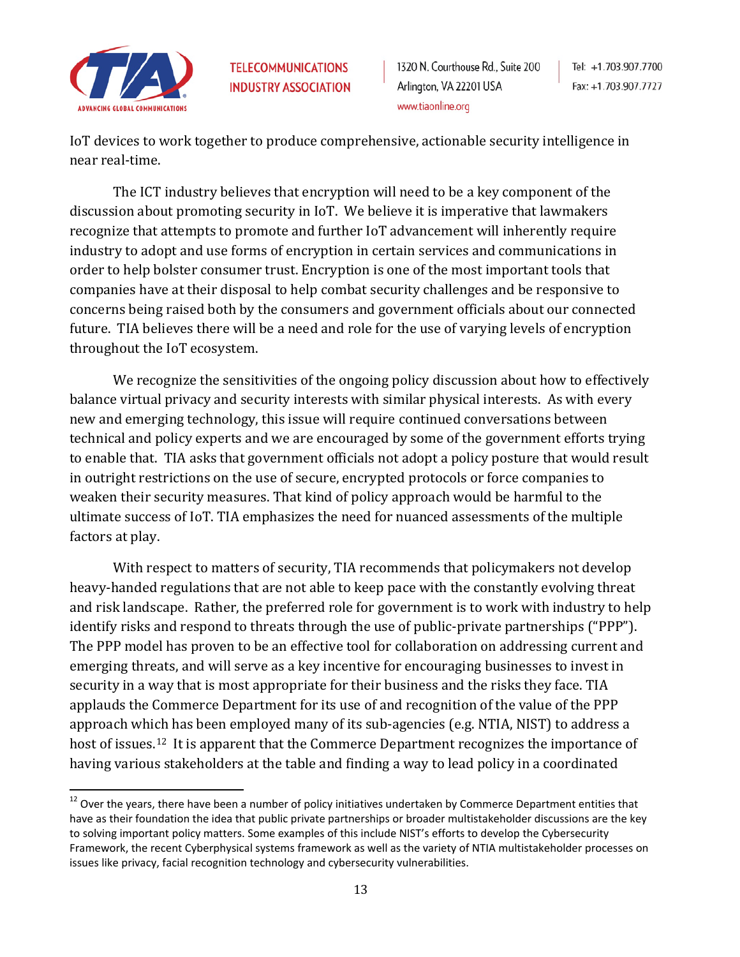

1320 N. Courthouse Rd., Suite 200 Arlington, VA 22201 USA www.tiaonline.org

IoT devices to work together to produce comprehensive, actionable security intelligence in near real-time.

The ICT industry believes that encryption will need to be a key component of the discussion about promoting security in IoT. We believe it is imperative that lawmakers recognize that attempts to promote and further IoT advancement will inherently require industry to adopt and use forms of encryption in certain services and communications in order to help bolster consumer trust. Encryption is one of the most important tools that companies have at their disposal to help combat security challenges and be responsive to concerns being raised both by the consumers and government officials about our connected future. TIA believes there will be a need and role for the use of varying levels of encryption throughout the IoT ecosystem.

We recognize the sensitivities of the ongoing policy discussion about how to effectively balance virtual privacy and security interests with similar physical interests. As with every new and emerging technology, this issue will require continued conversations between technical and policy experts and we are encouraged by some of the government efforts trying to enable that. TIA asks that government officials not adopt a policy posture that would result in outright restrictions on the use of secure, encrypted protocols or force companies to weaken their security measures. That kind of policy approach would be harmful to the ultimate success of IoT. TIA emphasizes the need for nuanced assessments of the multiple factors at play.

With respect to matters of security, TIA recommends that policymakers not develop heavy-handed regulations that are not able to keep pace with the constantly evolving threat and risk landscape. Rather, the preferred role for government is to work with industry to help identify risks and respond to threats through the use of public-private partnerships ("PPP"). The PPP model has proven to be an effective tool for collaboration on addressing current and emerging threats, and will serve as a key incentive for encouraging businesses to invest in security in a way that is most appropriate for their business and the risks they face. TIA applauds the Commerce Department for its use of and recognition of the value of the PPP approach which has been employed many of its sub-agencies (e.g. NTIA, NIST) to address a host of issues.<sup>[12](#page-12-0)</sup> It is apparent that the Commerce Department recognizes the importance of having various stakeholders at the table and finding a way to lead policy in a coordinated

<span id="page-12-0"></span> $12$  Over the years, there have been a number of policy initiatives undertaken by Commerce Department entities that have as their foundation the idea that public private partnerships or broader multistakeholder discussions are the key to solving important policy matters. Some examples of this include NIST's efforts to develop the Cybersecurity Framework, the recent Cyberphysical systems framework as well as the variety of NTIA multistakeholder processes on issues like privacy, facial recognition technology and cybersecurity vulnerabilities.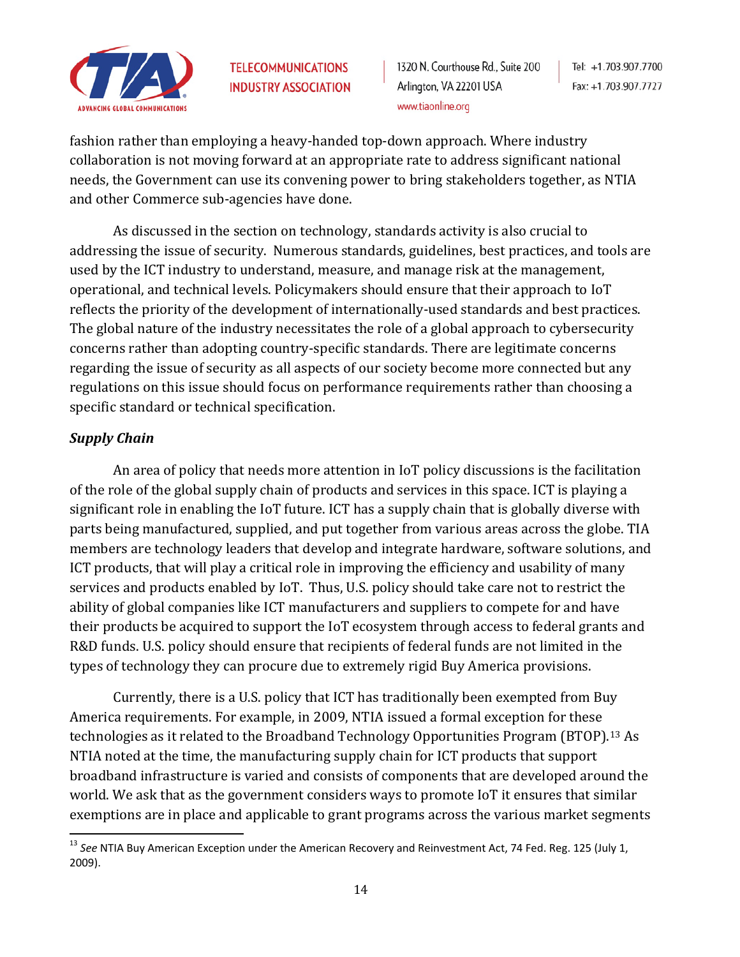

1320 N. Courthouse Rd., Suite 200 Arlington, VA 22201 USA www.tiaonline.org

Tel: +1.703.907.7700 Fax: +1.703.907.7727

fashion rather than employing a heavy-handed top-down approach. Where industry collaboration is not moving forward at an appropriate rate to address significant national needs, the Government can use its convening power to bring stakeholders together, as NTIA and other Commerce sub-agencies have done.

As discussed in the section on technology, standards activity is also crucial to addressing the issue of security. Numerous standards, guidelines, best practices, and tools are used by the ICT industry to understand, measure, and manage risk at the management, operational, and technical levels. Policymakers should ensure that their approach to IoT reflects the priority of the development of internationally-used standards and best practices. The global nature of the industry necessitates the role of a global approach to cybersecurity concerns rather than adopting country-specific standards. There are legitimate concerns regarding the issue of security as all aspects of our society become more connected but any regulations on this issue should focus on performance requirements rather than choosing a specific standard or technical specification.

## *Supply Chain*

An area of policy that needs more attention in IoT policy discussions is the facilitation of the role of the global supply chain of products and services in this space. ICT is playing a significant role in enabling the IoT future. ICT has a supply chain that is globally diverse with parts being manufactured, supplied, and put together from various areas across the globe. TIA members are technology leaders that develop and integrate hardware, software solutions, and ICT products, that will play a critical role in improving the efficiency and usability of many services and products enabled by IoT. Thus, U.S. policy should take care not to restrict the ability of global companies like ICT manufacturers and suppliers to compete for and have their products be acquired to support the IoT ecosystem through access to federal grants and R&D funds. U.S. policy should ensure that recipients of federal funds are not limited in the types of technology they can procure due to extremely rigid Buy America provisions.

Currently, there is a U.S. policy that ICT has traditionally been exempted from Buy America requirements. For example, in 2009, NTIA issued a formal exception for these technologies as it related to the Broadband Technology Opportunities Program (BTOP).[13](#page-13-0) As NTIA noted at the time, the manufacturing supply chain for ICT products that support broadband infrastructure is varied and consists of components that are developed around the world. We ask that as the government considers ways to promote IoT it ensures that similar exemptions are in place and applicable to grant programs across the various market segments

<span id="page-13-0"></span> <sup>13</sup> *See* NTIA Buy American Exception under the American Recovery and Reinvestment Act, 74 Fed. Reg. 125 (July 1, 2009).